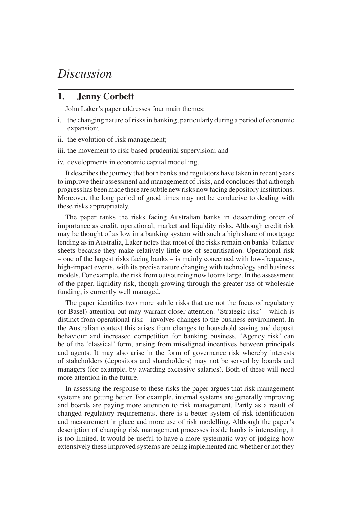## *Discussion*

## **1. Jenny Corbett**

John Laker's paper addresses four main themes:

- i. the changing nature of risks in banking, particularly during a period of economic expansion;
- ii. the evolution of risk management;
- iii. the movement to risk-based prudential supervision; and
- iv. developments in economic capital modelling.

It describes the journey that both banks and regulators have taken in recent years to improve their assessment and management of risks, and concludes that although progress has been made there are subtle new risks now facing depository institutions. Moreover, the long period of good times may not be conducive to dealing with these risks appropriately.

The paper ranks the risks facing Australian banks in descending order of importance as credit, operational, market and liquidity risks. Although credit risk may be thought of as low in a banking system with such a high share of mortgage lending as in Australia, Laker notes that most of the risks remain on banks' balance sheets because they make relatively little use of securitisation. Operational risk – one of the largest risks facing banks – is mainly concerned with low-frequency, high-impact events, with its precise nature changing with technology and business models. For example, the risk from outsourcing now looms large. In the assessment of the paper, liquidity risk, though growing through the greater use of wholesale funding, is currently well managed.

The paper identifies two more subtle risks that are not the focus of regulatory (or Basel) attention but may warrant closer attention. 'Strategic risk' – which is distinct from operational risk – involves changes to the business environment. In the Australian context this arises from changes to household saving and deposit behaviour and increased competition for banking business. 'Agency risk' can be of the 'classical' form, arising from misaligned incentives between principals and agents. It may also arise in the form of governance risk whereby interests of stakeholders (depositors and shareholders) may not be served by boards and managers (for example, by awarding excessive salaries). Both of these will need more attention in the future.

In assessing the response to these risks the paper argues that risk management systems are getting better. For example, internal systems are generally improving and boards are paying more attention to risk management. Partly as a result of changed regulatory requirements, there is a better system of risk identification and measurement in place and more use of risk modelling. Although the paper's description of changing risk management processes inside banks is interesting, it is too limited. It would be useful to have a more systematic way of judging how extensively these improved systems are being implemented and whether or not they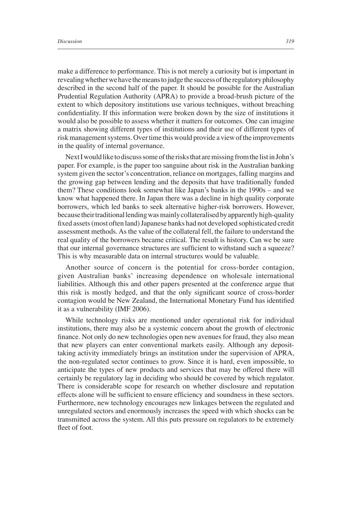make a difference to performance. This is not merely a curiosity but is important in revealing whether we have the means to judge the success of the regulatory philosophy described in the second half of the paper. It should be possible for the Australian Prudential Regulation Authority (APRA) to provide a broad-brush picture of the extent to which depository institutions use various techniques, without breaching confidentiality. If this information were broken down by the size of institutions it would also be possible to assess whether it matters for outcomes. One can imagine a matrix showing different types of institutions and their use of different types of risk management systems. Over time this would provide a view of the improvements in the quality of internal governance.

Next I would like to discuss some of the risks that are missing from the list in John's paper. For example, is the paper too sanguine about risk in the Australian banking system given the sector's concentration, reliance on mortgages, falling margins and the growing gap between lending and the deposits that have traditionally funded them? These conditions look somewhat like Japan's banks in the 1990s – and we know what happened there. In Japan there was a decline in high quality corporate borrowers, which led banks to seek alternative higher-risk borrowers. However, because their traditional lending was mainly collateralised by apparently high-quality fi xed assets (most often land) Japanese banks had not developed sophisticated credit assessment methods. As the value of the collateral fell, the failure to understand the real quality of the borrowers became critical. The result is history. Can we be sure that our internal governance structures are sufficient to withstand such a squeeze? This is why measurable data on internal structures would be valuable.

Another source of concern is the potential for cross-border contagion, given Australian banks' increasing dependence on wholesale international liabilities. Although this and other papers presented at the conference argue that this risk is mostly hedged, and that the only significant source of cross-border contagion would be New Zealand, the International Monetary Fund has identified it as a vulnerability (IMF 2006).

While technology risks are mentioned under operational risk for individual institutions, there may also be a systemic concern about the growth of electronic finance. Not only do new technologies open new avenues for fraud, they also mean that new players can enter conventional markets easily. Although any deposittaking activity immediately brings an institution under the supervision of APRA, the non-regulated sector continues to grow. Since it is hard, even impossible, to anticipate the types of new products and services that may be offered there will certainly be regulatory lag in deciding who should be covered by which regulator. There is considerable scope for research on whether disclosure and reputation effects alone will be sufficient to ensure efficiency and soundness in these sectors. Furthermore, new technology encourages new linkages between the regulated and unregulated sectors and enormously increases the speed with which shocks can be transmitted across the system. All this puts pressure on regulators to be extremely fleet of foot.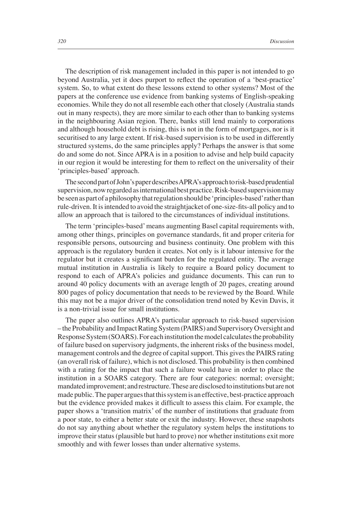The description of risk management included in this paper is not intended to go beyond Australia, yet it does purport to reflect the operation of a 'best-practice' system. So, to what extent do these lessons extend to other systems? Most of the papers at the conference use evidence from banking systems of English-speaking economies. While they do not all resemble each other that closely (Australia stands out in many respects), they are more similar to each other than to banking systems in the neighbouring Asian region. There, banks still lend mainly to corporations and although household debt is rising, this is not in the form of mortgages, nor is it securitised to any large extent. If risk-based supervision is to be used in differently structured systems, do the same principles apply? Perhaps the answer is that some do and some do not. Since APRA is in a position to advise and help build capacity in our region it would be interesting for them to reflect on the universality of their 'principles-based' approach.

The second part of John's paper describes APRA's approach to risk-based prudential supervision, now regarded as international best practice. Risk-based supervision may be seen as part of a philosophy that regulation should be 'principles-based' rather than rule-driven. It is intended to avoid the straightjacket of one-size-fits-all policy and to allow an approach that is tailored to the circumstances of individual institutions.

The term 'principles-based' means augmenting Basel capital requirements with, among other things, principles on governance standards, fit and proper criteria for responsible persons, outsourcing and business continuity. One problem with this approach is the regulatory burden it creates. Not only is it labour intensive for the regulator but it creates a significant burden for the regulated entity. The average mutual institution in Australia is likely to require a Board policy document to respond to each of APRA's policies and guidance documents. This can run to around 40 policy documents with an average length of 20 pages, creating around 800 pages of policy documentation that needs to be reviewed by the Board. While this may not be a major driver of the consolidation trend noted by Kevin Davis, it is a non-trivial issue for small institutions.

The paper also outlines APRA's particular approach to risk-based supervision – the Probability and Impact Rating System (PAIRS) and Supervisory Oversight and Response System (SOARS). For each institution the model calculates the probability of failure based on supervisory judgments, the inherent risks of the business model, management controls and the degree of capital support. This gives the PAIRS rating (an overall risk of failure), which is not disclosed. This probability is then combined with a rating for the impact that such a failure would have in order to place the institution in a SOARS category. There are four categories: normal; oversight; mandated improvement; and restructure. These are disclosed to institutions but are not made public. The paper argues that this system is an effective, best-practice approach but the evidence provided makes it difficult to assess this claim. For example, the paper shows a 'transition matrix' of the number of institutions that graduate from a poor state, to either a better state or exit the industry. However, these snapshots do not say anything about whether the regulatory system helps the institutions to improve their status (plausible but hard to prove) nor whether institutions exit more smoothly and with fewer losses than under alternative systems.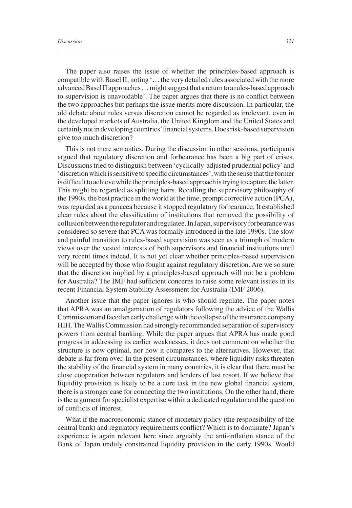The paper also raises the issue of whether the principles-based approach is compatible with Basel II, noting '… the very detailed rules associated with the more advanced Basel II approaches … might suggest that a return to a rules-based approach to supervision is unavoidable'. The paper argues that there is no conflict between the two approaches but perhaps the issue merits more discussion. In particular, the old debate about rules versus discretion cannot be regarded as irrelevant, even in the developed markets of Australia, the United Kingdom and the United States and certainly not in developing countries' fi nancial systems. Does risk-based supervision give too much discretion?

This is not mere semantics. During the discussion in other sessions, participants argued that regulatory discretion and forbearance has been a big part of crises. Discussions tried to distinguish between 'cyclically-adjusted prudential policy' and 'discretion which is sensitive to specific circumstances', with the sense that the former is difficult to achieve while the principles-based approach is trying to capture the latter. This might be regarded as splitting hairs. Recalling the supervisory philosophy of the 1990s, the best practice in the world at the time, prompt corrective action (PCA), was regarded as a panacea because it stopped regulatory forbearance. It established clear rules about the classification of institutions that removed the possibility of collusion between the regulator and regulatee. In Japan, supervisory forbearance was considered so severe that PCA was formally introduced in the late 1990s. The slow and painful transition to rules-based supervision was seen as a triumph of modern views over the vested interests of both supervisors and financial institutions until very recent times indeed. It is not yet clear whether principles-based supervision will be accepted by those who fought against regulatory discretion. Are we so sure that the discretion implied by a principles-based approach will not be a problem for Australia? The IMF had sufficient concerns to raise some relevant issues in its recent Financial System Stability Assessment for Australia (IMF 2006).

Another issue that the paper ignores is who should regulate. The paper notes that APRA was an amalgamation of regulators following the advice of the Wallis Commission and faced an early challenge with the collapse of the insurance company HIH. The Wallis Commission had strongly recommended separation of supervisory powers from central banking. While the paper argues that APRA has made good progress in addressing its earlier weaknesses, it does not comment on whether the structure is now optimal, nor how it compares to the alternatives. However, that debate is far from over. In the present circumstances, where liquidity risks threaten the stability of the financial system in many countries, it is clear that there must be close cooperation between regulators and lenders of last resort. If we believe that liquidity provision is likely to be a core task in the new global financial system, there is a stronger case for connecting the two institutions. On the other hand, there is the argument for specialist expertise within a dedicated regulator and the question of conflicts of interest.

What if the macroeconomic stance of monetary policy (the responsibility of the central bank) and regulatory requirements conflict? Which is to dominate? Japan's experience is again relevant here since arguably the anti-inflation stance of the Bank of Japan unduly constrained liquidity provision in the early 1990s. Would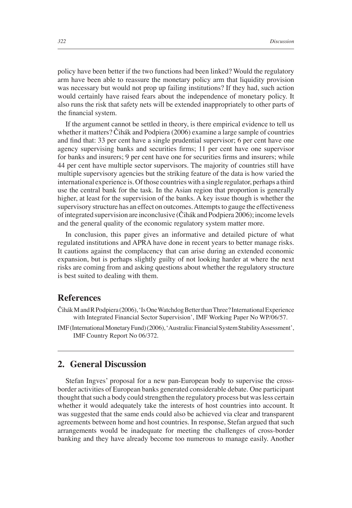policy have been better if the two functions had been linked? Would the regulatory arm have been able to reassure the monetary policy arm that liquidity provision was necessary but would not prop up failing institutions? If they had, such action would certainly have raised fears about the independence of monetary policy. It also runs the risk that safety nets will be extended inappropriately to other parts of the financial system.

If the argument cannot be settled in theory, is there empirical evidence to tell us whether it matters? Čihák and Podpiera (2006) examine a large sample of countries and find that: 33 per cent have a single prudential supervisor; 6 per cent have one agency supervising banks and securities firms; 11 per cent have one supervisor for banks and insurers; 9 per cent have one for securities firms and insurers; while 44 per cent have multiple sector supervisors. The majority of countries still have multiple supervisory agencies but the striking feature of the data is how varied the international experience is. Of those countries with a single regulator, perhaps a third use the central bank for the task. In the Asian region that proportion is generally higher, at least for the supervision of the banks. A key issue though is whether the supervisory structure has an effect on outcomes. Attempts to gauge the effectiveness of integrated supervision are inconclusive (Čihák and Podpiera 2006); income levels and the general quality of the economic regulatory system matter more.

In conclusion, this paper gives an informative and detailed picture of what regulated institutions and APRA have done in recent years to better manage risks. It cautions against the complacency that can arise during an extended economic expansion, but is perhaps slightly guilty of not looking harder at where the next risks are coming from and asking questions about whether the regulatory structure is best suited to dealing with them.

## **References**

- Čihák M and R Podpiera (2006), 'Is One Watchdog Better than Three? International Experience with Integrated Financial Sector Supervision', IMF Working Paper No WP/06/57.
- IMF (International Monetary Fund) (2006), 'Australia: Financial System Stability Assessment', IMF Country Report No 06/372.

## **2. General Discussion**

Stefan Ingves' proposal for a new pan-European body to supervise the crossborder activities of European banks generated considerable debate. One participant thought that such a body could strengthen the regulatory process but was less certain whether it would adequately take the interests of host countries into account. It was suggested that the same ends could also be achieved via clear and transparent agreements between home and host countries. In response, Stefan argued that such arrangements would be inadequate for meeting the challenges of cross-border banking and they have already become too numerous to manage easily. Another